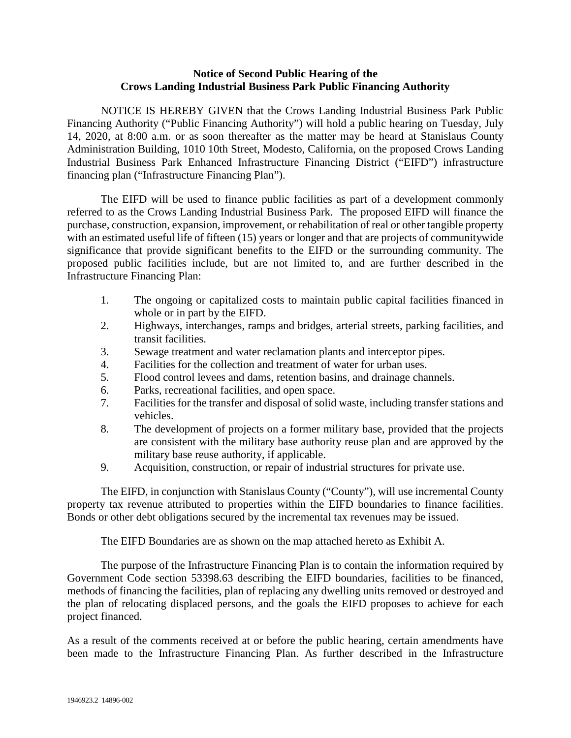## **Notice of Second Public Hearing of the Crows Landing Industrial Business Park Public Financing Authority**

NOTICE IS HEREBY GIVEN that the Crows Landing Industrial Business Park Public Financing Authority ("Public Financing Authority") will hold a public hearing on Tuesday, July 14, 2020, at 8:00 a.m. or as soon thereafter as the matter may be heard at Stanislaus County Administration Building, 1010 10th Street, Modesto, California, on the proposed Crows Landing Industrial Business Park Enhanced Infrastructure Financing District ("EIFD") infrastructure financing plan ("Infrastructure Financing Plan").

The EIFD will be used to finance public facilities as part of a development commonly referred to as the Crows Landing Industrial Business Park. The proposed EIFD will finance the purchase, construction, expansion, improvement, or rehabilitation of real or other tangible property with an estimated useful life of fifteen (15) years or longer and that are projects of community wide significance that provide significant benefits to the EIFD or the surrounding community. The proposed public facilities include, but are not limited to, and are further described in the Infrastructure Financing Plan:

- 1. The ongoing or capitalized costs to maintain public capital facilities financed in whole or in part by the EIFD.
- 2. Highways, interchanges, ramps and bridges, arterial streets, parking facilities, and transit facilities.
- 3. Sewage treatment and water reclamation plants and interceptor pipes.
- 4. Facilities for the collection and treatment of water for urban uses.
- 5. Flood control levees and dams, retention basins, and drainage channels.
- 6. Parks, recreational facilities, and open space.
- 7. Facilities for the transfer and disposal of solid waste, including transfer stations and vehicles.
- 8. The development of projects on a former military base, provided that the projects are consistent with the military base authority reuse plan and are approved by the military base reuse authority, if applicable.
- 9. Acquisition, construction, or repair of industrial structures for private use.

The EIFD, in conjunction with Stanislaus County ("County"), will use incremental County property tax revenue attributed to properties within the EIFD boundaries to finance facilities. Bonds or other debt obligations secured by the incremental tax revenues may be issued.

The EIFD Boundaries are as shown on the map attached hereto as Exhibit A.

The purpose of the Infrastructure Financing Plan is to contain the information required by Government Code section 53398.63 describing the EIFD boundaries, facilities to be financed, methods of financing the facilities, plan of replacing any dwelling units removed or destroyed and the plan of relocating displaced persons, and the goals the EIFD proposes to achieve for each project financed.

As a result of the comments received at or before the public hearing, certain amendments have been made to the Infrastructure Financing Plan. As further described in the Infrastructure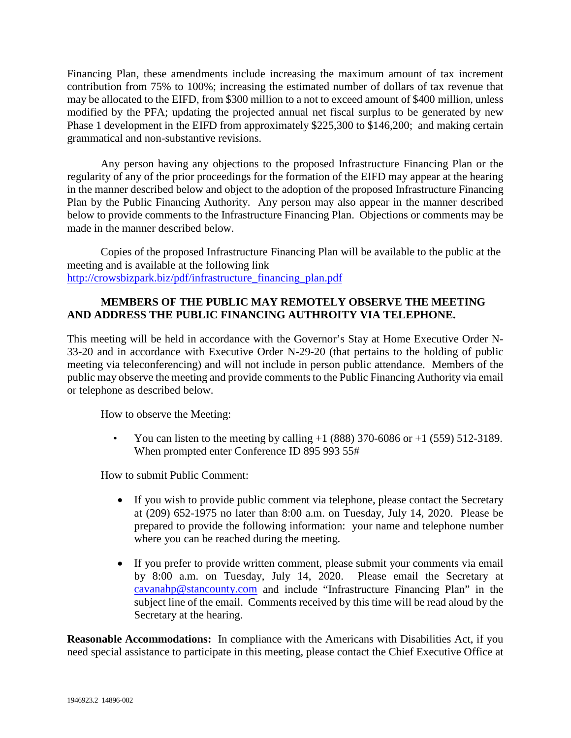Financing Plan, these amendments include increasing the maximum amount of tax increment contribution from 75% to 100%; increasing the estimated number of dollars of tax revenue that may be allocated to the EIFD, from \$300 million to a not to exceed amount of \$400 million, unless modified by the PFA; updating the projected annual net fiscal surplus to be generated by new Phase 1 development in the EIFD from approximately \$225,300 to \$146,200; and making certain grammatical and non-substantive revisions.

Any person having any objections to the proposed Infrastructure Financing Plan or the regularity of any of the prior proceedings for the formation of the EIFD may appear at the hearing in the manner described below and object to the adoption of the proposed Infrastructure Financing Plan by the Public Financing Authority. Any person may also appear in the manner described below to provide comments to the Infrastructure Financing Plan. Objections or comments may be made in the manner described below.

Copies of the proposed Infrastructure Financing Plan will be available to the public at the meeting and is available at the following link [http://crowsbizpark.biz/pdf/infrastructure\\_financing\\_plan.pdf](http://crowsbizpark.biz/pdf/infrastructure_financing_plan.pdf)

## **MEMBERS OF THE PUBLIC MAY REMOTELY OBSERVE THE MEETING AND ADDRESS THE PUBLIC FINANCING AUTHROITY VIA TELEPHONE.**

This meeting will be held in accordance with the Governor's Stay at Home Executive Order N-33-20 and in accordance with Executive Order N-29-20 (that pertains to the holding of public meeting via teleconferencing) and will not include in person public attendance. Members of the public may observe the meeting and provide comments to the Public Financing Authority via email or telephone as described below.

How to observe the Meeting:

You can listen to the meeting by calling  $+1$  (888) 370-6086 or  $+1$  (559) 512-3189. When prompted enter Conference ID 895 993 55#

How to submit Public Comment:

- If you wish to provide public comment via telephone, please contact the Secretary at (209) 652-1975 no later than 8:00 a.m. on Tuesday, July 14, 2020. Please be prepared to provide the following information: your name and telephone number where you can be reached during the meeting.
- If you prefer to provide written comment, please submit your comments via email by 8:00 a.m. on Tuesday, July 14, 2020. Please email the Secretary at [cavanahp@stancounty.com](mailto:cavanahp@stancounty.com) and include "Infrastructure Financing Plan" in the subject line of the email. Comments received by this time will be read aloud by the Secretary at the hearing.

**Reasonable Accommodations:** In compliance with the Americans with Disabilities Act, if you need special assistance to participate in this meeting, please contact the Chief Executive Office at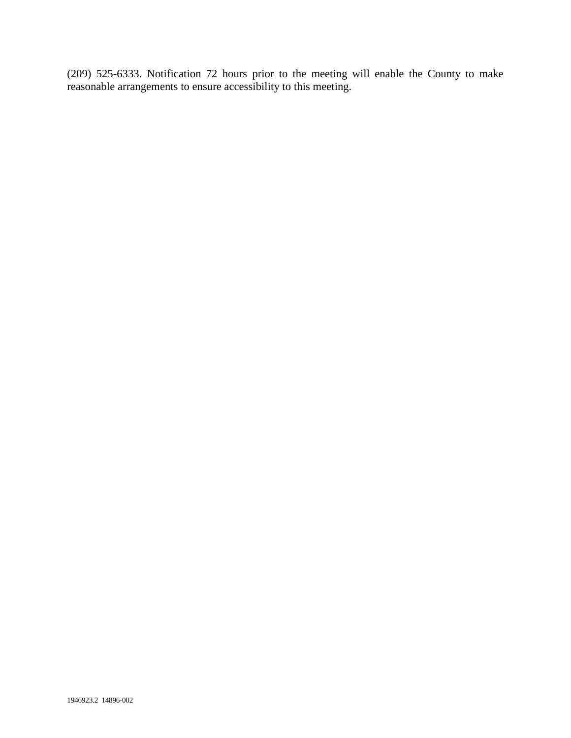(209) 525-6333. Notification 72 hours prior to the meeting will enable the County to make reasonable arrangements to ensure accessibility to this meeting.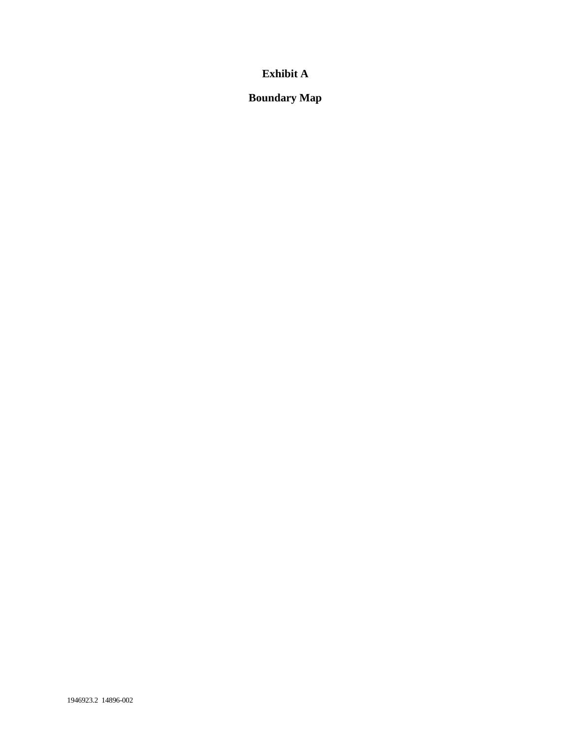## **Exhibit A**

**Boundary Map**